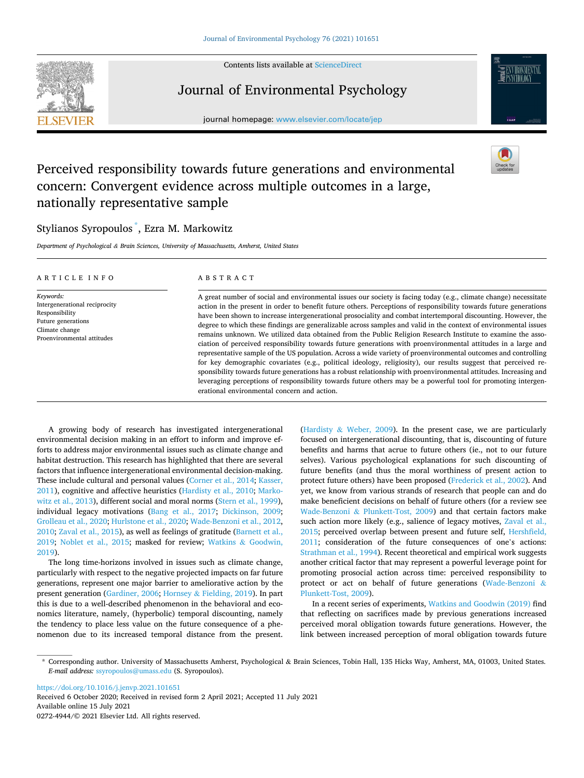Contents lists available at [ScienceDirect](www.sciencedirect.com/science/journal/02724944)



Journal of Environmental Psychology

journal homepage: [www.elsevier.com/locate/jep](https://www.elsevier.com/locate/jep)



# Perceived responsibility towards future generations and environmental concern: Convergent evidence across multiple outcomes in a large, nationally representative sample

## Stylianos Syropoulos \* , Ezra M. Markowitz

*Department of Psychological & Brain Sciences, University of Massachusetts, Amherst, United States* 

| ARTICLE INFO                                                                                                                       | A B S T R A C T                                                                                                                                                                                                                                                                                                                                                                                                                                                                                                                                                                                                                                                                                                                                                                                                                                                                                                                                                                                                                                                                                                                                                                                                                     |
|------------------------------------------------------------------------------------------------------------------------------------|-------------------------------------------------------------------------------------------------------------------------------------------------------------------------------------------------------------------------------------------------------------------------------------------------------------------------------------------------------------------------------------------------------------------------------------------------------------------------------------------------------------------------------------------------------------------------------------------------------------------------------------------------------------------------------------------------------------------------------------------------------------------------------------------------------------------------------------------------------------------------------------------------------------------------------------------------------------------------------------------------------------------------------------------------------------------------------------------------------------------------------------------------------------------------------------------------------------------------------------|
| Keywords:<br>Intergenerational reciprocity<br>Responsibility<br>Future generations<br>Climate change<br>Proenvironmental attitudes | A great number of social and environmental issues our society is facing today (e.g., climate change) necessitate<br>action in the present in order to benefit future others. Perceptions of responsibility towards future generations<br>have been shown to increase intergenerational prosociality and combat intertemporal discounting. However, the<br>degree to which these findings are generalizable across samples and valid in the context of environmental issues<br>remains unknown. We utilized data obtained from the Public Religion Research Institute to examine the asso-<br>ciation of perceived responsibility towards future generations with proenvironmental attitudes in a large and<br>representative sample of the US population. Across a wide variety of proenvironmental outcomes and controlling<br>for key demographic covariates (e.g., political ideology, religiosity), our results suggest that perceived re-<br>sponsibility towards future generations has a robust relationship with proenvironmental attitudes. Increasing and<br>leveraging perceptions of responsibility towards future others may be a powerful tool for promoting intergen-<br>erational environmental concern and action. |

A growing body of research has investigated intergenerational environmental decision making in an effort to inform and improve efforts to address major environmental issues such as climate change and habitat destruction. This research has highlighted that there are several factors that influence intergenerational environmental decision-making. These include cultural and personal values [\(Corner et al., 2014](#page-3-0); [Kasser,](#page-3-0)  [2011\)](#page-3-0), cognitive and affective heuristics ([Hardisty et al., 2010;](#page-3-0) [Marko](#page-4-0)[witz et al., 2013\)](#page-4-0), different social and moral norms ([Stern et al., 1999](#page-4-0)), individual legacy motivations ([Bang et al., 2017](#page-3-0); [Dickinson, 2009](#page-3-0); [Grolleau et al., 2020](#page-3-0); [Hurlstone et al., 2020;](#page-3-0) [Wade-Benzoni et al., 2012](#page-4-0), [2010; Zaval et al., 2015](#page-4-0)), as well as feelings of gratitude ([Barnett et al.,](#page-3-0)  [2019;](#page-3-0) [Noblet et al., 2015;](#page-4-0) masked for review; Watkins & [Goodwin,](#page-4-0)  [2019\)](#page-4-0).

The long time-horizons involved in issues such as climate change, particularly with respect to the negative projected impacts on far future generations, represent one major barrier to ameliorative action by the present generation ([Gardiner, 2006](#page-3-0); Hornsey & [Fielding, 2019](#page-3-0)). In part this is due to a well-described phenomenon in the behavioral and economics literature, namely, (hyperbolic) temporal discounting, namely the tendency to place less value on the future consequence of a phenomenon due to its increased temporal distance from the present. (Hardisty & [Weber, 2009\)](#page-3-0). In the present case, we are particularly focused on intergenerational discounting, that is, discounting of future benefits and harms that acrue to future others (ie., not to our future selves). Various psychological explanations for such discounting of future benefits (and thus the moral worthiness of present action to protect future others) have been proposed [\(Frederick et al., 2002\)](#page-3-0). And yet, we know from various strands of research that people can and do make beneficient decisions on behalf of future others (for a review see Wade-Benzoni & [Plunkett-Tost, 2009\)](#page-4-0) and that certain factors make such action more likely (e.g., salience of legacy motives, [Zaval et al.,](#page-4-0)  [2015;](#page-4-0) perceived overlap between present and future self, [Hershfield,](#page-3-0)  [2011;](#page-3-0) consideration of the future consequences of one's actions: [Strathman et al., 1994\)](#page-4-0). Recent theoretical and empirical work suggests another critical factor that may represent a powerful leverage point for promoting prosocial action across time: perceived responsibility to protect or act on behalf of future generations [\(Wade-Benzoni](#page-4-0) & [Plunkett-Tost, 2009](#page-4-0)).

In a recent series of experiments, [Watkins and Goodwin \(2019\)](#page-4-0) find that reflecting on sacrifices made by previous generations increased perceived moral obligation towards future generations. However, the link between increased perception of moral obligation towards future

<https://doi.org/10.1016/j.jenvp.2021.101651>

Available online 15 July 2021 0272-4944/© 2021 Elsevier Ltd. All rights reserved. Received 6 October 2020; Received in revised form 2 April 2021; Accepted 11 July 2021

<sup>\*</sup> Corresponding author. University of Massachusetts Amherst, Psychological & Brain Sciences, Tobin Hall, 135 Hicks Way, Amherst, MA, 01003, United States. *E-mail address:* [ssyropoulos@umass.edu](mailto:ssyropoulos@umass.edu) (S. Syropoulos).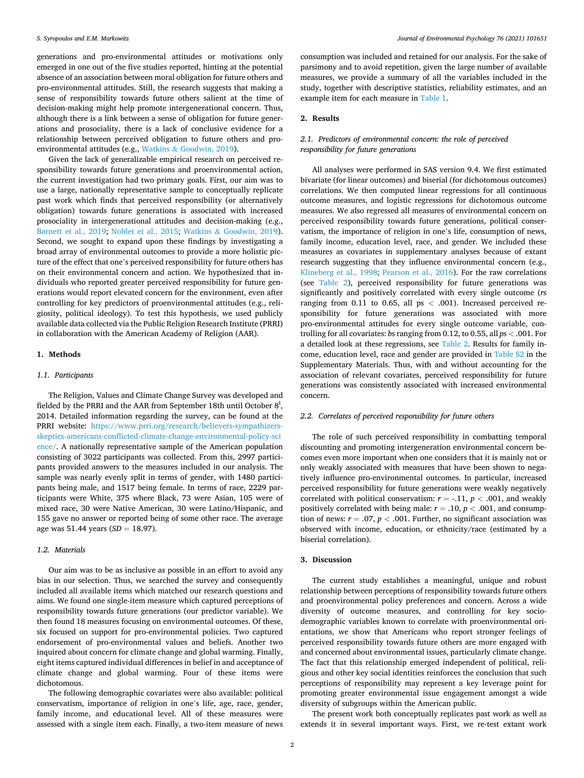generations and pro-environmental attitudes or motivations only emerged in one out of the five studies reported, hinting at the potential absence of an association between moral obligation for future others and pro-environmental attitudes. Still, the research suggests that making a sense of responsibility towards future others salient at the time of decision-making might help promote intergenerational concern. Thus, although there is a link between a sense of obligation for future generations and prosociality, there is a lack of conclusive evidence for a relationship between perceived obligation to future others and proenvironmental attitudes (e.g., Watkins & [Goodwin, 2019\)](#page-4-0).

Given the lack of generalizable empirical research on perceived responsibility towards future generations and proenvironmental action, the current investigation had two primary goals. First, our aim was to use a large, nationally representative sample to conceptually replicate past work which finds that perceived responsibility (or alternatively obligation) towards future generations is associated with increased prosociality in intergenerational attitudes and decision-making (e.g., [Barnett et al., 2019](#page-3-0); [Noblet et al., 2015;](#page-4-0) Watkins & [Goodwin, 2019](#page-4-0)). Second, we sought to expand upon these findings by investigating a broad array of environmental outcomes to provide a more holistic picture of the effect that one's perceived responsibility for future others has on their environmental concern and action. We hypothesized that individuals who reported greater perceived responsibility for future generations would report elevated concern for the environment, even after controlling for key predictors of proenvironmental attitudes (e.g., religiosity, political ideology). To test this hypothesis, we used publicly available data collected via the Public Religion Research Institute (PRRI) in collaboration with the American Academy of Religion (AAR).

#### **1. Methods**

## *1.1. Participants*

The Religion, Values and Climate Change Survey was developed and fielded by the PRRI and the AAR from September 18th until October  $8^t$ , 2014. Detailed information regarding the survey, can be found at the PRRI website: [https://www.prri.org/research/believers-sympathizers](https://www.prri.org/research/believers-sympathizers-skeptics-americans-conflicted-climate-change-environmental-policy-science/)[skeptics-americans-conflicted-climate-change-environmental-policy-sci](https://www.prri.org/research/believers-sympathizers-skeptics-americans-conflicted-climate-change-environmental-policy-science/)  [ence/.](https://www.prri.org/research/believers-sympathizers-skeptics-americans-conflicted-climate-change-environmental-policy-science/) A nationally representative sample of the American population consisting of 3022 participants was collected. From this, 2997 participants provided answers to the measures included in our analysis. The sample was nearly evenly split in terms of gender, with 1480 participants being male, and 1517 being female. In terms of race, 2229 participants were White, 375 where Black, 73 were Asian, 105 were of mixed race, 30 were Native American, 30 were Latino/Hispanic, and 155 gave no answer or reported being of some other race. The average age was 51.44 years (*SD* = 18.97).

## *1.2. Materials*

Our aim was to be as inclusive as possible in an effort to avoid any bias in our selection. Thus, we searched the survey and consequently included all available items which matched our research questions and aims. We found one single-item measure which captured perceptions of responsibility towards future generations (our predictor variable). We then found 18 measures focusing on environmental outcomes. Of these, six focused on support for pro-environmental policies. Two captured endorsement of pro-environmental values and beliefs. Another two inquired about concern for climate change and global warming. Finally, eight items captured individual differences in belief in and acceptance of climate change and global warming. Four of these items were dichotomous.

The following demographic covariates were also available: political conservatism, importance of religion in one's life, age, race, gender, family income, and educational level. All of these measures were assessed with a single item each. Finally, a two-item measure of news consumption was included and retained for our analysis. For the sake of parsimony and to avoid repetition, given the large number of available measures, we provide a summary of all the variables included in the study, together with descriptive statistics, reliability estimates, and an example item for each measure in [Table 1](#page-2-0).

#### **2. Results**

## *2.1. Predictors of environmental concern: the role of perceived responsibility for future generations*

All analyses were performed in SAS version 9.4. We first estimated bivariate (for linear outcomes) and biserial (for dichotomous outcomes) correlations. We then computed linear regressions for all continuous outcome measures, and logistic regressions for dichotomous outcome measures. We also regressed all measures of environmental concern on perceived responsibility towards future generations, political conservatism, the importance of religion in one's life, consumption of news, family income, education level, race, and gender. We included these measures as covariates in supplementary analyses because of extant research suggesting that they influence environmental concern (e.g., [Klineberg et al., 1998;](#page-3-0) [Pearson et al., 2016](#page-4-0)). For the raw correlations (see [Table 2\)](#page-3-0), perceived responsibility for future generations was significantly and positively correlated with every single outcome (*r*s ranging from 0.11 to 0.65, all ps *<* .001). Increased perceived responsibility for future generations was associated with more pro-environmental attitudes for every single outcome variable, controlling for all covariates: *b*s ranging from 0.12, to 0.55, all *p*s *<* .001. For a detailed look at these regressions, see [Table 2](#page-3-0). Results for family income, education level, race and gender are provided in Table S2 in the Supplementary Materials. Thus, with and without accounting for the association of relevant covariates, perceived responsibility for future generations was consistently associated with increased environmental concern.

#### *2.2. Correlates of perceived responsibility for future others*

The role of such perceived responsibility in combatting temporal discounting and promoting intergeneration environmental concern becomes even more important when one considers that it is mainly not or only weakly associated with measures that have been shown to negatively influence pro-environmental outcomes. In particular, increased perceived responsibility for future generations were weakly negatively correlated with political conservatism:  $r = -.11$ ,  $p < .001$ , and weakly positively correlated with being male:  $r = .10$ ,  $p < .001$ , and consumption of news:  $r = .07$ ,  $p < .001$ . Further, no significant association was observed with income, education, or ethnicity/race (estimated by a biserial correlation).

## **3. Discussion**

The current study establishes a meaningful, unique and robust relationship between perceptions of responsibility towards future others and proenvironmental policy preferences and concern. Across a wide diversity of outcome measures, and controlling for key sociodemographic variables known to correlate with proenvironmental orientations, we show that Americans who report stronger feelings of perceived responsibility towards future others are more engaged with and concerned about environmental issues, particularly climate change. The fact that this relationship emerged independent of political, religious and other key social identities reinforces the conclusion that such perceptions of responsibility may represent a key leverage point for promoting greater environmental issue engagement amongst a wide diversity of subgroups within the American public.

The present work both conceptually replicates past work as well as extends it in several important ways. First, we re-test extant work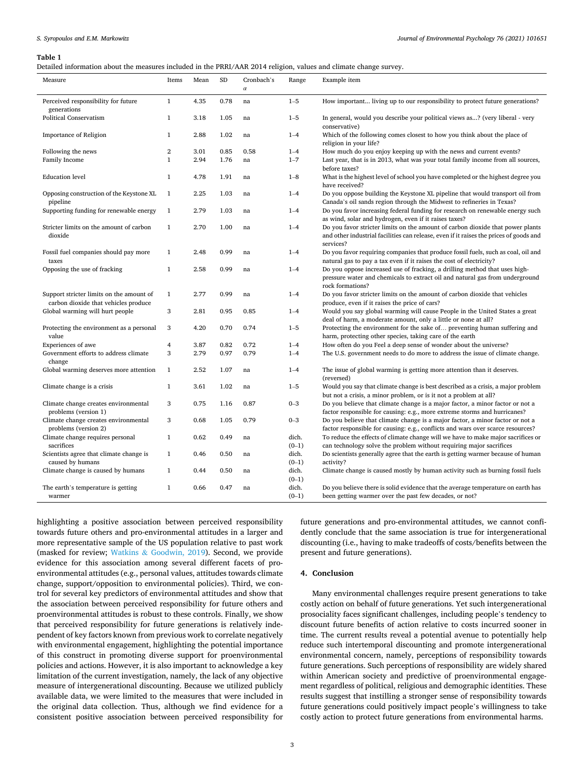#### <span id="page-2-0"></span>**Table 1**

|  |  | Detailed information about the measures included in the PRRI/AAR 2014 religion, values and climate change survey. |  |  |
|--|--|-------------------------------------------------------------------------------------------------------------------|--|--|
|--|--|-------------------------------------------------------------------------------------------------------------------|--|--|

| Measure                                                                          | Items          | Mean | ${\rm SD}$ | Cronbach's | Range            | Example item                                                                                                                                                                          |  |  |  |
|----------------------------------------------------------------------------------|----------------|------|------------|------------|------------------|---------------------------------------------------------------------------------------------------------------------------------------------------------------------------------------|--|--|--|
|                                                                                  |                |      |            | $\alpha$   |                  |                                                                                                                                                                                       |  |  |  |
| Perceived responsibility for future<br>generations                               | $\mathbf{1}$   | 4.35 | 0.78       | na         | $1 - 5$          | How important living up to our responsibility to protect future generations?                                                                                                          |  |  |  |
| <b>Political Conservatism</b>                                                    | $\mathbf{1}$   | 3.18 | 1.05       | na         | $1 - 5$          | In general, would you describe your political views as? (very liberal - very<br>conservative)                                                                                         |  |  |  |
| Importance of Religion                                                           | $\mathbf{1}$   | 2.88 | 1.02       | na         | $1 - 4$          | Which of the following comes closest to how you think about the place of<br>religion in your life?                                                                                    |  |  |  |
| Following the news                                                               | $\overline{2}$ | 3.01 | 0.85       | 0.58       | $1 - 4$          | How much do you enjoy keeping up with the news and current events?                                                                                                                    |  |  |  |
| Family Income                                                                    | $\mathbf{1}$   | 2.94 | 1.76       | na         | $1 - 7$          | Last year, that is in 2013, what was your total family income from all sources,<br>before taxes?                                                                                      |  |  |  |
| <b>Education</b> level                                                           | $\mathbf{1}$   | 4.78 | 1.91       | na         | $1 - 8$          | What is the highest level of school you have completed or the highest degree you<br>have received?                                                                                    |  |  |  |
| Opposing construction of the Keystone XL<br>pipeline                             | $\mathbf{1}$   | 2.25 | 1.03       | na         | $1 - 4$          | Do you oppose building the Keystone XL pipeline that would transport oil from<br>Canada's oil sands region through the Midwest to refineries in Texas?                                |  |  |  |
| Supporting funding for renewable energy                                          | $\mathbf{1}$   | 2.79 | 1.03       | na         | $1 - 4$          | Do you favor increasing federal funding for research on renewable energy such<br>as wind, solar and hydrogen, even if it raises taxes?                                                |  |  |  |
| Stricter limits on the amount of carbon<br>dioxide                               | $\mathbf{1}$   | 2.70 | 1.00       | na         | $1 - 4$          | Do you favor stricter limits on the amount of carbon dioxide that power plants<br>and other industrial facilities can release, even if it raises the prices of goods and<br>services? |  |  |  |
| Fossil fuel companies should pay more<br>taxes                                   | $\mathbf{1}$   | 2.48 | 0.99       | na         | $1 - 4$          | Do you favor requiring companies that produce fossil fuels, such as coal, oil and<br>natural gas to pay a tax even if it raises the cost of electricity?                              |  |  |  |
| Opposing the use of fracking                                                     | $\mathbf{1}$   | 2.58 | 0.99       | na         | $1 - 4$          | Do you oppose increased use of fracking, a drilling method that uses high-<br>pressure water and chemicals to extract oil and natural gas from underground<br>rock formations?        |  |  |  |
| Support stricter limits on the amount of<br>carbon dioxide that vehicles produce | $\mathbf{1}$   | 2.77 | 0.99       | na         | $1 - 4$          | Do you favor stricter limits on the amount of carbon dioxide that vehicles<br>produce, even if it raises the price of cars?                                                           |  |  |  |
| Global warming will hurt people                                                  | 3              | 2.81 | 0.95       | 0.85       | $1 - 4$          | Would you say global warming will cause People in the United States a great<br>deal of harm, a moderate amount, only a little or none at all?                                         |  |  |  |
| Protecting the environment as a personal<br>value                                | 3              | 4.20 | 0.70       | 0.74       | $1 - 5$          | Protecting the environment for the sake of preventing human suffering and<br>harm, protecting other species, taking care of the earth                                                 |  |  |  |
| Experiences of awe                                                               | 4              | 3.87 | 0.82       | 0.72       | $1 - 4$          | How often do you Feel a deep sense of wonder about the universe?                                                                                                                      |  |  |  |
| Government efforts to address climate<br>change                                  | 3              | 2.79 | 0.97       | 0.79       | $1 - 4$          | The U.S. government needs to do more to address the issue of climate change.                                                                                                          |  |  |  |
| Global warming deserves more attention                                           | $\mathbf{1}$   | 2.52 | 1.07       | na         | $1 - 4$          | The issue of global warming is getting more attention than it deserves.<br>(reversed)                                                                                                 |  |  |  |
| Climate change is a crisis                                                       | $\mathbf{1}$   | 3.61 | 1.02       | na         | $1 - 5$          | Would you say that climate change is best described as a crisis, a major problem<br>but not a crisis, a minor problem, or is it not a problem at all?                                 |  |  |  |
| Climate change creates environmental<br>problems (version 1)                     | 3              | 0.75 | 1.16       | 0.87       | $0 - 3$          | Do you believe that climate change is a major factor, a minor factor or not a<br>factor responsible for causing: e.g., more extreme storms and hurricanes?                            |  |  |  |
| Climate change creates environmental<br>problems (version 2)                     | 3              | 0.68 | 1.05       | 0.79       | $0 - 3$          | Do you believe that climate change is a major factor, a minor factor or not a<br>factor responsible for causing: e.g., conflicts and wars over scarce resources?                      |  |  |  |
| Climate change requires personal<br>sacrifices                                   | $\mathbf{1}$   | 0.62 | 0.49       | na         | dich.<br>$(0-1)$ | To reduce the effects of climate change will we have to make major sacrifices or<br>can technology solve the problem without requiring major sacrifices                               |  |  |  |
| Scientists agree that climate change is<br>caused by humans                      | $\mathbf{1}$   | 0.46 | 0.50       | na         | dich.<br>$(0-1)$ | Do scientists generally agree that the earth is getting warmer because of human<br>activity?                                                                                          |  |  |  |
| Climate change is caused by humans                                               | $\mathbf{1}$   | 0.44 | 0.50       | na         | dich.<br>$(0-1)$ | Climate change is caused mostly by human activity such as burning fossil fuels                                                                                                        |  |  |  |
| The earth's temperature is getting<br>warmer                                     | $\mathbf{1}$   | 0.66 | 0.47       | na         | dich.<br>$(0-1)$ | Do you believe there is solid evidence that the average temperature on earth has<br>been getting warmer over the past few decades, or not?                                            |  |  |  |

highlighting a positive association between perceived responsibility towards future others and pro-environmental attitudes in a larger and more representative sample of the US population relative to past work (masked for review; Watkins & [Goodwin, 2019](#page-4-0)). Second, we provide evidence for this association among several different facets of proenvironmental attitudes (e.g., personal values, attitudes towards climate change, support/opposition to environmental policies). Third, we control for several key predictors of environmental attitudes and show that the association between perceived responsibility for future others and proenvironmental attitudes is robust to these controls. Finally, we show that perceived responsibility for future generations is relatively independent of key factors known from previous work to correlate negatively with environmental engagement, highlighting the potential importance of this construct in promoting diverse support for proenvironmental policies and actions. However, it is also important to acknowledge a key limitation of the current investigation, namely, the lack of any objective measure of intergenerational discounting. Because we utilized publicly available data, we were limited to the measures that were included in the original data collection. Thus, although we find evidence for a consistent positive association between perceived responsibility for

future generations and pro-environmental attitudes, we cannot confidently conclude that the same association is true for intergenerational discounting (i.e., having to make tradeoffs of costs/benefits between the present and future generations).

## **4. Conclusion**

Many environmental challenges require present generations to take costly action on behalf of future generations. Yet such intergenerational prosociality faces significant challenges, including people's tendency to discount future benefits of action relative to costs incurred sooner in time. The current results reveal a potential avenue to potentially help reduce such intertemporal discounting and promote intergenerational environmental concern, namely, perceptions of responsibility towards future generations. Such perceptions of responsibility are widely shared within American society and predictive of proenvironmental engagement regardless of political, religious and demographic identities. These results suggest that instilling a stronger sense of responsibility towards future generations could positively impact people's willingness to take costly action to protect future generations from environmental harms.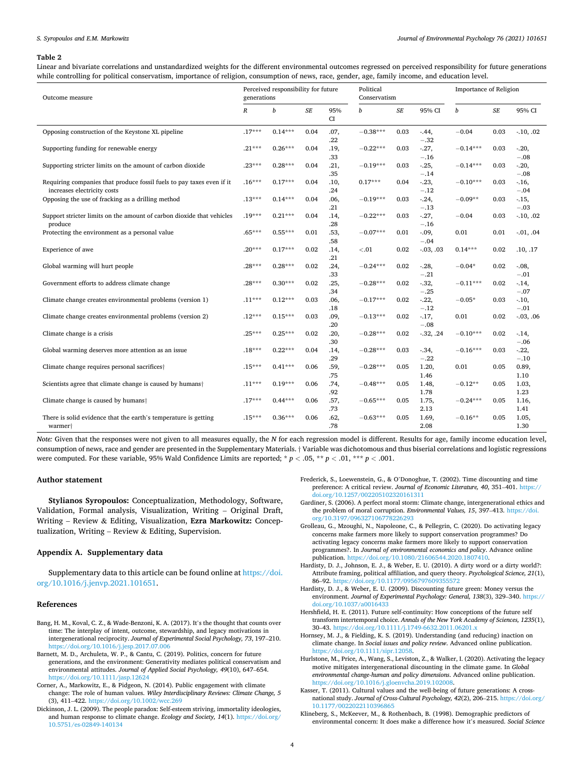#### <span id="page-3-0"></span>*S. Syropoulos and E.M. Markowitz*

#### **Table 2**

Linear and bivariate correlations and unstandardized weights for the different environmental outcomes regressed on perceived responsibility for future generations while controlling for political conservatism, importance of religion, consumption of news, race, gender, age, family income, and education level.

| Outcome measure                                                                                      |                  | Perceived responsibility for future<br>generations |           |             |            | Political<br>Conservatism |                     |            | Importance of Religion |                   |  |
|------------------------------------------------------------------------------------------------------|------------------|----------------------------------------------------|-----------|-------------|------------|---------------------------|---------------------|------------|------------------------|-------------------|--|
|                                                                                                      | $\boldsymbol{R}$ | b                                                  | $\cal SE$ | 95%<br>CI   | b          | $\cal SE$                 | 95% CI              | b          | SE                     | 95% CI            |  |
| Opposing construction of the Keystone XL pipeline                                                    | $.17***$         | $0.14***$                                          | 0.04      | .07.<br>.22 | $-0.38***$ | 0.03                      | $-44,$<br>$-.32$    | $-0.04$    | 0.03                   | $-10, .02$        |  |
| Supporting funding for renewable energy                                                              | $.21***$         | $0.26***$                                          | 0.04      | .19.<br>.33 | $-0.22***$ | 0.03                      | $-27,$<br>$-.16$    | $-0.14***$ | 0.03                   | $-.20,$<br>$-.08$ |  |
| Supporting stricter limits on the amount of carbon dioxide                                           | $.23***$         | $0.28***$                                          | 0.04      | .21,<br>.35 | $-0.19***$ | 0.03                      | $-25,$<br>$-.14$    | $-0.14***$ | 0.03                   | $-.20,$<br>$-.08$ |  |
| Requiring companies that produce fossil fuels to pay taxes even if it<br>increases electricity costs | $.16***$         | $0.17***$                                          | 0.04      | .10,<br>.24 | $0.17***$  | 0.04                      | $-23,$<br>$-.12$    | $-0.10***$ | 0.03                   | $-16,$<br>$-.04$  |  |
| Opposing the use of fracking as a drilling method                                                    | $.13***$         | $0.14***$                                          | 0.04      | .06.<br>.21 | $-0.19***$ | 0.03                      | $-24,$<br>$-.13$    | $-0.09**$  | 0.03                   | $-.15,$<br>$-.03$ |  |
| Support stricter limits on the amount of carbon dioxide that vehicles<br>produce                     | $.19***$         | $0.21***$                                          | 0.04      | .14.<br>.28 | $-0.22***$ | 0.03                      | $-27,$<br>$-.16$    | $-0.04$    | 0.03                   | $-10, .02$        |  |
| Protecting the environment as a personal value                                                       | $.65***$         | $0.55***$                                          | 0.01      | .53,<br>.58 | $-0.07***$ | 0.01                      | $-0.09$ ,<br>$-.04$ | 0.01       | 0.01                   | $-0.01, .04$      |  |
| Experience of awe                                                                                    | $.20***$         | $0.17***$                                          | 0.02      | .14.<br>.21 | < 0.01     | 0.02                      | $-03, .03$          | $0.14***$  | 0.02                   | .10, .17          |  |
| Global warming will hurt people                                                                      | $.28***$         | $0.28***$                                          | 0.02      | .24.<br>.33 | $-0.24***$ | 0.02                      | $-.28,$<br>$-.21$   | $-0.04*$   | 0.02                   | $-.08,$<br>$-.01$ |  |
| Government efforts to address climate change                                                         | $.28***$         | $0.30***$                                          | 0.02      | .25.<br>.34 | $-0.28***$ | 0.02                      | $-32,$<br>$-.25$    | $-0.11***$ | 0.02                   | $-14,$<br>$-.07$  |  |
| Climate change creates environmental problems (version 1)                                            | $.11***$         | $0.12***$                                          | 0.03      | .06.<br>.18 | $-0.17***$ | 0.02                      | $-22,$<br>$-.12$    | $-0.05*$   | 0.03                   | $-.10,$<br>$-.01$ |  |
| Climate change creates environmental problems (version 2)                                            | $.12***$         | $0.15***$                                          | 0.03      | .09.<br>.20 | $-0.13***$ | 0.02                      | $-17,$<br>$-.08$    | 0.01       | 0.02                   | $-0.03, .06$      |  |
| Climate change is a crisis                                                                           | $.25***$         | $0.25***$                                          | 0.02      | .20.<br>.30 | $-0.28***$ | 0.02                      | $-32, .24$          | $-0.10***$ | 0.02                   | $-14,$<br>$-.06$  |  |
| Global warming deserves more attention as an issue                                                   | $.18***$         | $0.22***$                                          | 0.04      | .14.<br>.29 | $-0.28***$ | 0.03                      | $-34,$<br>$-.22$    | $-0.16***$ | 0.03                   | $-.22,$<br>$-.10$ |  |
| Climate change requires personal sacrifices <sup>†</sup>                                             | $.15***$         | $0.41***$                                          | 0.06      | .59.<br>.75 | $-0.28***$ | 0.05                      | 1.20,<br>1.46       | 0.01       | 0.05                   | 0.89,<br>1.10     |  |
| Scientists agree that climate change is caused by humans <sup>†</sup>                                | $.11***$         | $0.19***$                                          | 0.06      | .74.<br>.92 | $-0.48***$ | 0.05                      | 1.48,<br>1.78       | $-0.12**$  | 0.05                   | 1.03,<br>1.23     |  |
| Climate change is caused by humans <sup>+</sup>                                                      | $.17***$         | $0.44***$                                          | 0.06      | .57,<br>.73 | $-0.65***$ | 0.05                      | 1.75,<br>2.13       | $-0.24***$ | 0.05                   | 1.16,<br>1.41     |  |
| There is solid evidence that the earth's temperature is getting<br>warmer <sup>+</sup>               | $.15***$         | $0.36***$                                          | 0.06      | .62.<br>.78 | $-0.63***$ | 0.05                      | 1.69,<br>2.08       | $-0.16**$  | 0.05                   | 1.05.<br>1.30     |  |

*Note:* Given that the responses were not given to all measures equally, the *N* for each regression model is different. Results for age, family income education level, consumption of news, race and gender are presented in the Supplementary Materials. † Variable was dichotomous and thus biserial correlations and logistic regressions were computed. For these variable, 95% Wald Confidence Limits are reported; \*  $p < .05$ , \*\*  $p < .01$ , \*\*\*  $p < .001$ .

## **Author statement**

**Stylianos Syropoulos:** Conceptualization, Methodology, Software, Validation, Formal analysis, Visualization, Writing – Original Draft, Writing – Review & Editing, Visualization, **Ezra Markowitz:** Conceptualization, Writing – Review & Editing, Supervision.

## **Appendix A. Supplementary data**

Supplementary data to this article can be found online at [https://doi.](https://doi.org/10.1016/j.jenvp.2021.101651)  [org/10.1016/j.jenvp.2021.101651.](https://doi.org/10.1016/j.jenvp.2021.101651)

## **References**

- Bang, H. M., Koval, C. Z., & Wade-Benzoni, K. A. (2017). It's the thought that counts over time: The interplay of intent, outcome, stewardship, and legacy motivations in intergenerational reciprocity. *Journal of Experimental Social Psychology, 73*, 197–210. <https://doi.org/10.1016/j.jesp.2017.07.006>
- Barnett, M. D., Archuleta, W. P., & Cantu, C. (2019). Politics, concern for future generations, and the environment: Generativity mediates political conservatism and environmental attitudes. *Journal of Applied Social Psychology, 49*(10), 647–654. <https://doi.org/10.1111/jasp.12624>
- Corner, A., Markowitz, E., & Pidgeon, N. (2014). Public engagement with climate change: The role of human values. *Wiley Interdisciplinary Reviews: Climate Change, 5*  (3), 411–422.<https://doi.org/10.1002/wcc.269>
- Dickinson, J. L. (2009). The people paradox: Self-esteem striving, immortality ideologies, and human response to climate change. *Ecology and Society, 14*(1). [https://doi.org/](https://doi.org/10.5751/es-02849-140134)  [10.5751/es-02849-140134](https://doi.org/10.5751/es-02849-140134)
- Frederick, S., Loewenstein, G., & O'Donoghue, T. (2002). Time discounting and time preference: A critical review. *Journal of Economic Literature, 40*, 351–401. [https://](https://doi.org/10.1257/002205102320161311) [doi.org/10.1257/002205102320161311](https://doi.org/10.1257/002205102320161311)
- Gardiner, S. (2006). A perfect moral storm: Climate change, intergenerational ethics and the problem of moral corruption. *Environmental Values, 15*, 397–413. [https://doi.](https://doi.org/10.3197/096327106778226293) [org/10.3197/096327106778226293](https://doi.org/10.3197/096327106778226293)
- Grolleau, G., Mzoughi, N., Napoleone, C., & Pellegrin, C. (2020). Do activating legacy concerns make farmers more likely to support conservation programmes? Do activating legacy concerns make farmers more likely to support conservation programmes?. In *Journal of environmental economics and policy*. Advance online publication.<https://doi.org/10.1080/21606544.2020.1807410>.
- Hardisty, D. J., Johnson, E. J., & Weber, E. U. (2010). A dirty word or a dirty world?: Attribute framing, political affiliation, and query theory. *Psychological Science, 21*(1), 86-92. https://doi.org/10.1177/09567976093
- Hardisty, D. J., & Weber, E. U. (2009). Discounting future green: Money versus the environment. *Journal of Experimental Psychology: General, 138*(3), 329–340. [https://](https://doi.org/10.1037/a0016433)  [doi.org/10.1037/a0016433](https://doi.org/10.1037/a0016433)
- Hershfield, H. E. (2011). Future self-continuity: How conceptions of the future self transform intertemporal choice. *Annals of the New York Academy of Sciences, 1235*(1), 30–43. <https://doi.org/10.1111/j.1749-6632.2011.06201.x>
- Hornsey, M. J., & Fielding, K. S. (2019). Understanding (and reducing) inaction on climate change. In *Social issues and policy review*. Advanced online publication. [https://doi.org/10.1111/sipr.12058.](https://doi.org/10.1111/sipr.12058)
- Hurlstone, M., Price, A., Wang, S., Leviston, Z., & Walker, I. (2020). Activating the legacy motive mitigates intergenerational discounting in the climate game. In *Global environmental change-human and policy dimensions*. Advanced online publication. <https://doi.org/10.1016/j.gloenvcha.2019.102008>.
- Kasser, T. (2011). Cultural values and the well-being of future generations: A crossnational study. *Journal of Cross-Cultural Psychology, 42*(2), 206–215. [https://doi.org/](https://doi.org/10.1177/0022022110396865)  [10.1177/0022022110396865](https://doi.org/10.1177/0022022110396865)
- Klineberg, S., McKeever, M., & Rothenbach, B. (1998). Demographic predictors of environmental concern: It does make a difference how it's measured. *Social Science*